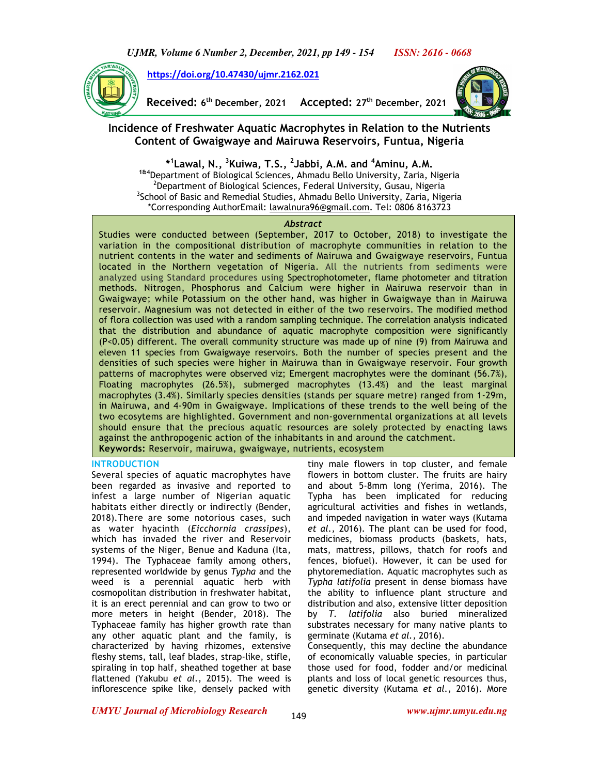

**https://doi.org/10.47430/ujmr.2162.021**

**Received: 6 th December, 2021 Accepted: 27th December, 2021** 



## **Incidence of Freshwater Aquatic Macrophytes in Relation to the Nutrients Content of Gwaigwaye and Mairuwa Reservoirs, Funtua, Nigeria**

**\* 1 Lawal, N., <sup>3</sup>Kuiwa, T.S., <sup>2</sup> Jabbi, A.M. and <sup>4</sup>Aminu, A.M. 1&4**Department of Biological Sciences, Ahmadu Bello University, Zaria, Nigeria  $^2$ Department of Biological Sciences, Federal University, Gusau, Nigeria <sup>3</sup>School of Basic and Remedial Studies, Ahmadu Bello University, Zaria, Nigeria \*Corresponding AuthorEmail: lawalnura96@gmail.com. Tel: 0806 8163723

### *Abstract*

Studies were conducted between (September, 2017 to October, 2018) to investigate the variation in the compositional distribution of macrophyte communities in relation to the nutrient contents in the water and sediments of Mairuwa and Gwaigwaye reservoirs, Funtua located in the Northern vegetation of Nigeria. All the nutrients from sediments were analyzed using Standard procedures using Spectrophotometer, flame photometer and titration methods**.** Nitrogen, Phosphorus and Calcium were higher in Mairuwa reservoir than in Gwaigwaye; while Potassium on the other hand, was higher in Gwaigwaye than in Mairuwa reservoir. Magnesium was not detected in either of the two reservoirs. The modified method of flora collection was used with a random sampling technique. The correlation analysis indicated that the distribution and abundance of aquatic macrophyte composition were significantly (P<0.05) different. The overall community structure was made up of nine (9) from Mairuwa and eleven 11 species from Gwaigwaye reservoirs. Both the number of species present and the densities of such species were higher in Mairuwa than in Gwaigwaye reservoir. Four growth patterns of macrophytes were observed viz; Emergent macrophytes were the dominant (56.7%), Floating macrophytes (26.5%), submerged macrophytes (13.4%) and the least marginal macrophytes (3.4%). Similarly species densities (stands per square metre) ranged from 1-29m, in Mairuwa, and 4-90m in Gwaigwaye. Implications of these trends to the well being of the two ecosytems are highlighted. Government and non-governmental organizations at all levels should ensure that the precious aquatic resources are solely protected by enacting laws against the anthropogenic action of the inhabitants in and around the catchment. **Keywords:** Reservoir, mairuwa, gwaigwaye, nutrients, ecosystem

#### **INTRODUCTION**

Several species of aquatic macrophytes have been regarded as invasive and reported to infest a large number of Nigerian aquatic habitats either directly or indirectly (Bender, 2018).There are some notorious cases, such as water hyacinth (*Eicchornia crassipes*), which has invaded the river and Reservoir systems of the Niger, Benue and Kaduna (Ita, 1994). The Typhaceae family among others, represented worldwide by genus *Typha* and the weed is a perennial aquatic herb with cosmopolitan distribution in freshwater habitat, it is an erect perennial and can grow to two or more meters in height (Bender, 2018). The Typhaceae family has higher growth rate than any other aquatic plant and the family, is characterized by having rhizomes, extensive fleshy stems, tall, leaf blades, strap-like, stifle, spiraling in top half, sheathed together at base flattened (Yakubu *et al.,* 2015). The weed is inflorescence spike like, densely packed with

tiny male flowers in top cluster, and female flowers in bottom cluster. The fruits are hairy and about 5-8mm long (Yerima, 2016). The Typha has been implicated for reducing agricultural activities and fishes in wetlands, and impeded navigation in water ways (Kutama *et al.,* 2016). The plant can be used for food, medicines, biomass products (baskets, hats, mats, mattress, pillows, thatch for roofs and fences, biofuel). However, it can be used for phytoremediation. Aquatic macrophytes such as *Typha latifolia* present in dense biomass have the ability to influence plant structure and distribution and also, extensive litter deposition by *T. latifolia* also buried mineralized substrates necessary for many native plants to germinate (Kutama *et al.,* 2016). Consequently, this may decline the abundance

of economically valuable species, in particular those used for food, fodder and/or medicinal plants and loss of local genetic resources thus, genetic diversity (Kutama *et al.,* 2016). More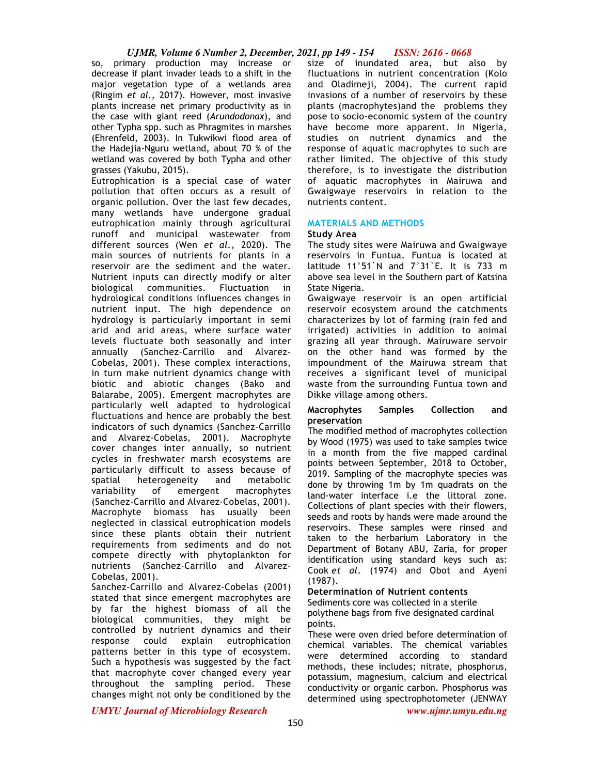## *UJMR, Volume 6 Number 2, December, 2021, pp 149 - 154 ISSN: 2616 - 0668*

so, primary production may increase or decrease if plant invader leads to a shift in the major vegetation type of a wetlands area (Ringim *et al.,* 2017). However, most invasive plants increase net primary productivity as in the case with giant reed (*Arundodonax*), and other Typha spp. such as Phragmites in marshes (Ehrenfeld, 2003). In Tukwikwi flood area of the Hadejia-Nguru wetland, about 70 % of the wetland was covered by both Typha and other grasses (Yakubu, 2015).

Eutrophication is a special case of water pollution that often occurs as a result of organic pollution. Over the last few decades, many wetlands have undergone gradual eutrophication mainly through agricultural runoff and municipal wastewater from different sources (Wen *et al.,* 2020). The main sources of nutrients for plants in a reservoir are the sediment and the water. Nutrient inputs can directly modify or alter<br>biological communities. Fluctuation in biological communities. Fluctuation in hydrological conditions influences changes in nutrient input. The high dependence on hydrology is particularly important in semi arid and arid areas, where surface water levels fluctuate both seasonally and inter annually (Sanchez-Carrillo and Alvarez-Cobelas, 2001). These complex interactions, in turn make nutrient dynamics change with biotic and abiotic changes (Bako and Balarabe, 2005). Emergent macrophytes are particularly well adapted to hydrological fluctuations and hence are probably the best indicators of such dynamics (Sanchez-Carrillo and Alvarez-Cobelas, 2001). Macrophyte cover changes inter annually, so nutrient cycles in freshwater marsh ecosystems are particularly difficult to assess because of spatial heterogeneity and metabolic variability of emergent macrophytes (Sanchez-Carrillo and Alvarez-Cobelas, 2001). Macrophyte biomass has usually been neglected in classical eutrophication models since these plants obtain their nutrient requirements from sediments and do not compete directly with phytoplankton for nutrients (Sanchez-Carrillo and Alvarez-Cobelas, 2001).

Sanchez-Carrillo and Alvarez-Cobelas (2001) stated that since emergent macrophytes are by far the highest biomass of all the biological communities, they might be controlled by nutrient dynamics and their response could explain eutrophication patterns better in this type of ecosystem. Such a hypothesis was suggested by the fact that macrophyte cover changed every year throughout the sampling period. These changes might not only be conditioned by the size of inundated area, but also by fluctuations in nutrient concentration (Kolo and Oladimeji, 2004). The current rapid invasions of a number of reservoirs by these plants (macrophytes)and the problems they pose to socio-economic system of the country have become more apparent. In Nigeria, studies on nutrient dynamics and the response of aquatic macrophytes to such are rather limited. The objective of this study therefore, is to investigate the distribution of aquatic macrophytes in Mairuwa and Gwaigwaye reservoirs in relation to the nutrients content.

## **MATERIALS AND METHODS**

## **Study Area**

The study sites were Mairuwa and Gwaigwaye reservoirs in Funtua. Funtua is located at latitude 11°51`N and  $7°31$ `E. It is 733 m above sea level in the Southern part of Katsina State Nigeria.

Gwaigwaye reservoir is an open artificial reservoir ecosystem around the catchments characterizes by lot of farming (rain fed and irrigated) activities in addition to animal grazing all year through. Mairuware servoir on the other hand was formed by the impoundment of the Mairuwa stream that receives a significant level of municipal waste from the surrounding Funtua town and Dikke village among others.

## **Macrophytes Samples Collection and preservation**

The modified method of macrophytes collection by Wood (1975) was used to take samples twice in a month from the five mapped cardinal points between September, 2018 to October, 2019. Sampling of the macrophyte species was done by throwing 1m by 1m quadrats on the land-water interface i.e the littoral zone. Collections of plant species with their flowers, seeds and roots by hands were made around the reservoirs. These samples were rinsed and taken to the herbarium Laboratory in the Department of Botany ABU, Zaria, for proper identification using standard keys such as: Cook *et al*. (1974) and Obot and Ayeni (1987).

## **Determination of Nutrient contents**

Sediments core was collected in a sterile polythene bags from five designated cardinal points.

These were oven dried before determination of chemical variables. The chemical variables were determined according to standard methods, these includes; nitrate, phosphorus, potassium, magnesium, calcium and electrical conductivity or organic carbon. Phosphorus was determined using spectrophotometer (JENWAY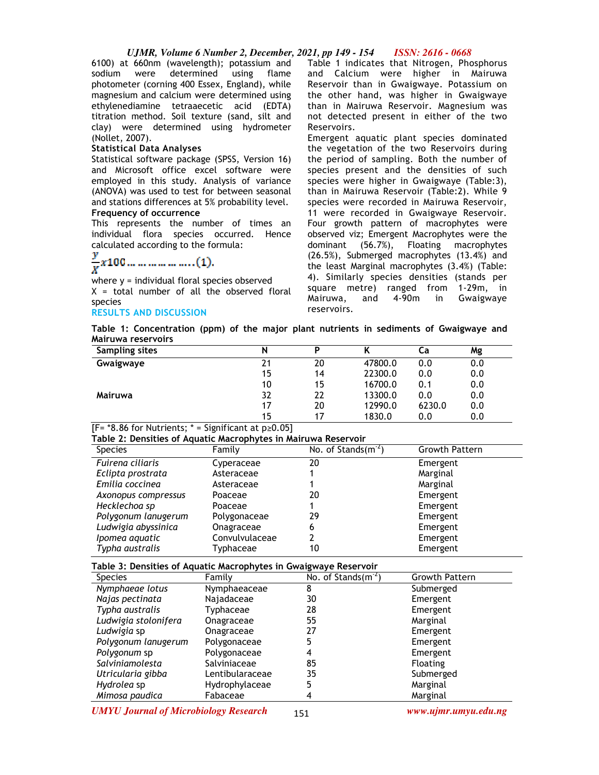## *UJMR, Volume 6 Number 2, December, 2021, pp 149 - 154 ISSN: 2616 - 0668*

6100) at 660nm (wavelength); potassium and sodium were determined using flame photometer (corning 400 Essex, England), while magnesium and calcium were determined using ethylenediamine tetraaecetic acid (EDTA) titration method. Soil texture (sand, silt and clay) were determined using hydrometer (Nollet, 2007).

#### **Statistical Data Analyses**

Statistical software package (SPSS, Version 16) and Microsoft office excel software were employed in this study. Analysis of variance (ANOVA) was used to test for between seasonal and stations differences at 5% probability level. **Frequency of occurrence** 

This represents the number of times an individual flora species occurred. Hence

# calculated according to the formula:<br> $\frac{y}{x}$  x 100 ... ... ... ... ........ (1).

where y = individual floral species observed  $X =$  total number of all the observed floral species

## **RESULTS AND DISCUSSION**

Table 1 indicates that Nitrogen, Phosphorus and Calcium were higher in Mairuwa Reservoir than in Gwaigwaye. Potassium on the other hand, was higher in Gwaigwaye than in Mairuwa Reservoir. Magnesium was not detected present in either of the two Reservoirs.

Emergent aquatic plant species dominated the vegetation of the two Reservoirs during the period of sampling. Both the number of species present and the densities of such species were higher in Gwaigwaye (Table:3), than in Mairuwa Reservoir (Table:2). While 9 species were recorded in Mairuwa Reservoir, 11 were recorded in Gwaigwaye Reservoir. Four growth pattern of macrophytes were observed viz; Emergent Macrophytes were the dominant (56.7%), Floating macrophytes (26.5%), Submerged macrophytes (13.4%) and the least Marginal macrophytes (3.4%) (Table: 4). Similarly species densities (stands per square metre) ranged from 1-29m, in Mairuwa, and 4-90m in Gwaigwaye reservoirs.

**Table 1: Concentration (ppm) of the major plant nutrients in sediments of Gwaigwaye and Mairuwa reservoirs** 

| Sampling sites | N  | D  |         | Сa     | Mg  |
|----------------|----|----|---------|--------|-----|
| Gwaigwaye      | 21 | 20 | 47800.0 | 0.0    | 0.0 |
|                | 15 | 14 | 22300.0 | 0.0    | 0.0 |
|                | 10 | 15 | 16700.0 | 0.1    | 0.0 |
| Mairuwa        | 32 | 22 | 13300.0 | 0.0    | 0.0 |
|                | 17 | 20 | 12990.0 | 6230.0 | 0.0 |
|                | 15 | 17 | 1830.0  | 0.0    | 0.0 |

 $[Fe^{-*}8.86$  for Nutrients; \* = Significant at  $p \ge 0.05$ ]

#### **Table 2: Densities of Aquatic Macrophytes in Mairuwa Reservoir**

| <b>Species</b>      | Family         | No. of Stands $(m^{-2})$ | <b>Growth Pattern</b> |
|---------------------|----------------|--------------------------|-----------------------|
| Fuirena ciliaris    | Cyperaceae     | 20                       | Emergent              |
| Eclipta prostrata   | Asteraceae     |                          | Marginal              |
| Emilia coccinea     | Asteraceae     |                          | Marginal              |
| Axonopus compressus | Poaceae        | 20                       | Emergent              |
| Hecklechoa sp       | Poaceae        |                          | Emergent              |
| Polygonum lanugerum | Polygonaceae   | 29                       | Emergent              |
| Ludwigia abyssinica | Onagraceae     | 6                        | Emergent              |
| Ipomea aquatic      | Convulvulaceae | 2                        | Emergent              |
| Typha australis     | Typhaceae      | 10                       | Emergent              |

**Table 3: Densities of Aquatic Macrophytes in Gwaigwaye Reservoir** 

| <b>Species</b>       | Family          | No. of Stands $(m^2)$ | Growth Pattern  |
|----------------------|-----------------|-----------------------|-----------------|
| Nymphaeae lotus      | Nymphaeaceae    | 8                     | Submerged       |
| Najas pectinata      | Najadaceae      | 30                    | Emergent        |
| Typha australis      | Typhaceae       | 28                    | Emergent        |
| Ludwigia stolonifera | Onagraceae      | 55                    | Marginal        |
| Ludwigia sp          | Onagraceae      | 27                    | Emergent        |
| Polygonum lanugerum  | Polygonaceae    | 5                     | Emergent        |
| Polygonum sp         | Polygonaceae    | 4                     | Emergent        |
| Salviniamolesta      | Salviniaceae    | 85                    | <b>Floating</b> |
| Utricularia gibba    | Lentibularaceae | 35                    | Submerged       |
| Hydrolea sp          | Hydrophylaceae  | 5                     | Marginal        |
| Mimosa paudica       | Fabaceae        |                       | Marginal        |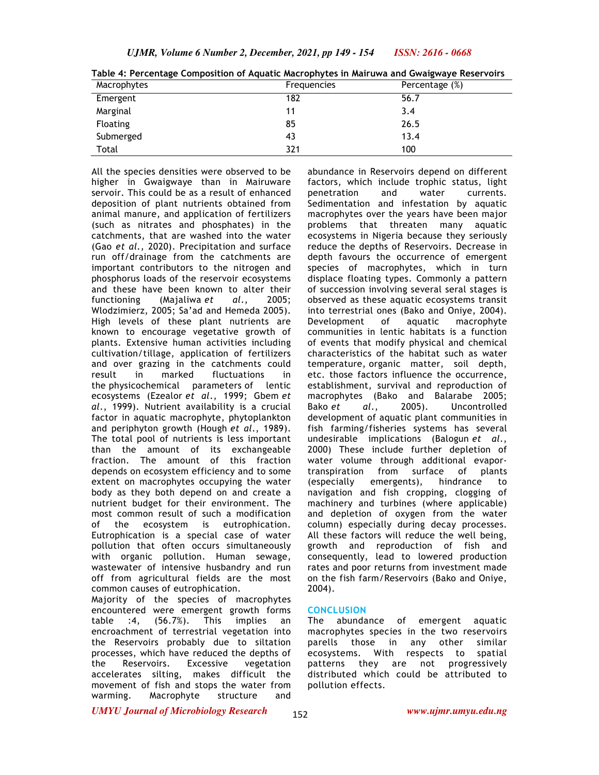| Macrophytes     | Frequencies | Percentage (%) |
|-----------------|-------------|----------------|
| Emergent        | 182         | 56.7           |
| Marginal        | 11          | 3.4            |
| <b>Floating</b> | 85          | 26.5           |
| Submerged       | 43          | 13.4           |
| Total           | 321         | 100            |

**Table 4: Percentage Composition of Aquatic Macrophytes in Mairuwa and Gwaigwaye Reservoirs** 

All the species densities were observed to be higher in Gwaigwaye than in Mairuware servoir. This could be as a result of enhanced deposition of plant nutrients obtained from animal manure, and application of fertilizers (such as nitrates and phosphates) in the catchments, that are washed into the water (Gao *et al.,* 2020). Precipitation and surface run off/drainage from the catchments are important contributors to the nitrogen and phosphorus loads of the reservoir ecosystems and these have been known to alter their functioning (Majaliwa *et al*., 2005; Wlodzimierz, 2005; Sa'ad and Hemeda 2005). High levels of these plant nutrients are known to encourage vegetative growth of plants. Extensive human activities including cultivation/tillage, application of fertilizers and over grazing in the catchments could<br>result in marked fluctuations in result in marked fluctuations in the physicochemical parameters of lentic ecosystems (Ezealor *et al*., 1999; Gbem *et al*., 1999). Nutrient availability is a crucial factor in aquatic macrophyte, phytoplankton and periphyton growth (Hough *et al*., 1989). The total pool of nutrients is less important than the amount of its exchangeable fraction. The amount of this fraction depends on ecosystem efficiency and to some extent on macrophytes occupying the water body as they both depend on and create a nutrient budget for their environment. The most common result of such a modification of the ecosystem is eutrophication. Eutrophication is a special case of water pollution that often occurs simultaneously with organic pollution. Human sewage, wastewater of intensive husbandry and run off from agricultural fields are the most common causes of eutrophication.

Majority of the species of macrophytes encountered were emergent growth forms table :4, (56.7%). This implies an encroachment of terrestrial vegetation into the Reservoirs probably due to siltation processes, which have reduced the depths of the Reservoirs. Excessive vegetation accelerates silting, makes difficult the movement of fish and stops the water from warming. Macrophyte structure and

abundance in Reservoirs depend on different factors, which include trophic status, light penetration and water currents. Sedimentation and infestation by aquatic macrophytes over the years have been major problems that threaten many aquatic ecosystems in Nigeria because they seriously reduce the depths of Reservoirs. Decrease in depth favours the occurrence of emergent species of macrophytes, which in turn displace floating types. Commonly a pattern of succession involving several seral stages is observed as these aquatic ecosystems transit into terrestrial ones (Bako and Oniye, 2004). Development of aquatic macrophyte communities in lentic habitats is a function of events that modify physical and chemical characteristics of the habitat such as water temperature, organic matter, soil depth, etc. those factors influence the occurrence, establishment, survival and reproduction of macrophytes (Bako and Balarabe 2005; Bako *et al*., 2005). Uncontrolled development of aquatic plant communities in fish farming/fisheries systems has several undesirable implications (Balogun *et al*., 2000) These include further depletion of water volume through additional evaportranspiration from surface of plants (especially emergents), hindrance to navigation and fish cropping, clogging of machinery and turbines (where applicable) and depletion of oxygen from the water column) especially during decay processes. All these factors will reduce the well being, growth and reproduction of fish and consequently, lead to lowered production rates and poor returns from investment made on the fish farm/Reservoirs (Bako and Oniye, 2004).

#### **CONCLUSION**

The abundance of emergent aquatic macrophytes species in the two reservoirs parells those in any other similar ecosystems. With respects to spatial patterns they are not progressively distributed which could be attributed to pollution effects.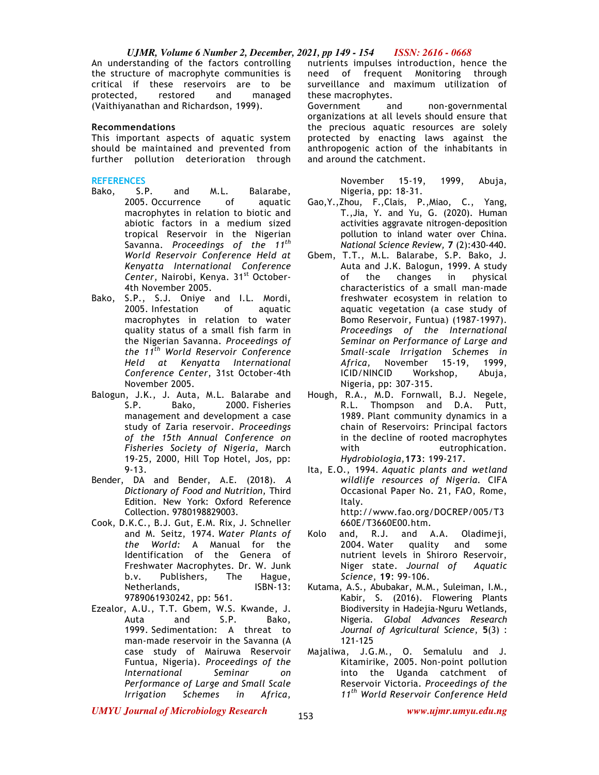## *UJMR, Volume 6 Number 2, December, 2021, pp 149 - 154 ISSN: 2616 - 0668*

An understanding of the factors controlling the structure of macrophyte communities is critical if these reservoirs are to be protected, restored and managed (Vaithiyanathan and Richardson, 1999).

#### **Recommendations**

This important aspects of aquatic system should be maintained and prevented from further pollution deterioration through

#### **REFERENCES**

- Bako, S.P. and M.L. Balarabe, 2005. Occurrence of aquatic macrophytes in relation to biotic and abiotic factors in a medium sized tropical Reservoir in the Nigerian Savanna. *Proceedings of the 11th World Reservoir Conference Held at Kenyatta International Conference*  Center, Nairobi, Kenya. 31<sup>st</sup> October-4th November 2005.
- Bako, S.P., S.J. Oniye and I.L. Mordi, 2005. Infestation of aquatic macrophytes in relation to water quality status of a small fish farm in the Nigerian Savanna. *Proceedings of the 11th World Reservoir Conference Held at Kenyatta International Conference Center*, 31st October-4th November 2005.
- Balogun, J.K., J. Auta, M.L. Balarabe and S.P. Bako, 2000. Fisheries management and development a case study of Zaria reservoir. *Proceedings of the 15th Annual Conference on Fisheries Society of Nigeria,* March 19-25, 2000, Hill Top Hotel, Jos, pp: 9-13.
- Bender, DA and Bender, A.E. (2018). *A Dictionary of Food and Nutrition,* Third Edition. New York: Oxford Reference Collection. 9780198829003.
- Cook, D.K.C., B.J. Gut, E.M. Rix, J. Schneller and M. Seitz, 1974. *Water Plants of the World:* A Manual for the Identification of the Genera of Freshwater Macrophytes. Dr. W. Junk b.v. Publishers, The Hague, Netherlands, ISBN-13: 9789061930242, pp: 561.
- Ezealor, A.U., T.T. Gbem, W.S. Kwande, J. Auta and S.P. Bako, 1999. Sedimentation: A threat to man-made reservoir in the Savanna (A case study of Mairuwa Reservoir Funtua, Nigeria). *Proceedings of the International Seminar on Performance of Large and Small Scale Irrigation Schemes in Africa*,

nutrients impulses introduction, hence the need of frequent Monitoring through surveillance and maximum utilization of these macrophytes.

Government and non-governmental organizations at all levels should ensure that the precious aquatic resources are solely protected by enacting laws against the anthropogenic action of the inhabitants in and around the catchment.

> November 15-19, 1999, Abuja, Nigeria, pp: 18-31.

- Gao,Y.,Zhou, F.,Clais, P.,Miao, C., Yang, T.,Jia, Y. and Yu, G. (2020). Human activities aggravate nitrogen-deposition pollution to inland water over China. *National Science Review,* **7** (2):430-440.
- Gbem, T.T., M.L. Balarabe, S.P. Bako, J. Auta and J.K. Balogun, 1999. A study of the changes in physical characteristics of a small man-made freshwater ecosystem in relation to aquatic vegetation (a case study of Bomo Reservoir, Funtua) (1987-1997). *Proceedings of the International Seminar on Performance of Large and Small-scale Irrigation Schemes in Africa,* November 15-19, 1999, ICID/NINCID Workshop, Abuja, Nigeria, pp: 307-315.
- Hough, R.A., M.D. Fornwall, B.J. Negele, R.L. Thompson and D.A. Putt, 1989. Plant community dynamics in a chain of Reservoirs: Principal factors in the decline of rooted macrophytes with eutrophication. *Hydrobiologia,***173**: 199-217.
- Ita, E.O., 1994. *Aquatic plants and wetland wildlife resources of Nigeria.* CIFA Occasional Paper No. 21, FAO, Rome, Italy. http://www.fao.org/DOCREP/005/T3 660E/T3660E00.htm.
- Kolo and, R.J. and A.A. Oladimeji, 2004. Water quality and some nutrient levels in Shiroro Reservoir, Niger state. *Journal of Aquatic Science*, **19**: 99-106.
- Kutama, A.S., Abubakar, M.M., Suleiman, I.M., Kabir, S. (2016). Flowering Plants Biodiversity in Hadejia-Nguru Wetlands, Nigeria. *Global Advances Research Journal of Agricultural Science*, **5**(3) : 121-125
- Majaliwa, J.G.M., O. Semalulu and J. Kitamirike, 2005. Non-point pollution into the Uganda catchment of Reservoir Victoria. *Proceedings of the 11th World Reservoir Conference Held*